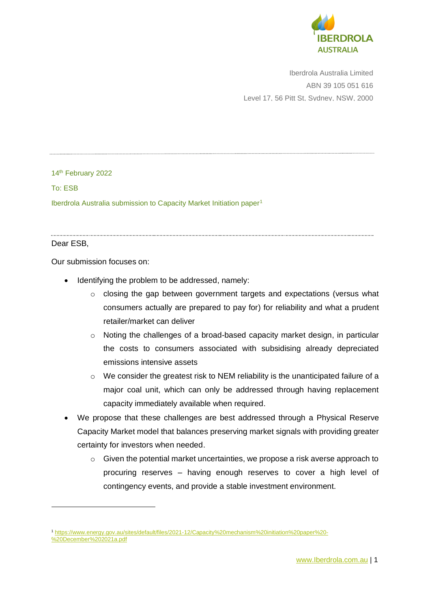

Iberdrola Australia Limited ABN 39 105 051 616 Level 17, 56 Pitt St, Sydney, NSW, 2000

14<sup>th</sup> February 2022

To: ESB

Iberdrola Australia submission to Capacity Market Initiation paper<sup>1</sup>

#### Dear ESB,

Our submission focuses on:

- Identifying the problem to be addressed, namely:
	- $\circ$  closing the gap between government targets and expectations (versus what consumers actually are prepared to pay for) for reliability and what a prudent retailer/market can deliver
	- o Noting the challenges of a broad-based capacity market design, in particular the costs to consumers associated with subsidising already depreciated emissions intensive assets
	- o We consider the greatest risk to NEM reliability is the unanticipated failure of a major coal unit, which can only be addressed through having replacement capacity immediately available when required.
- We propose that these challenges are best addressed through a Physical Reserve Capacity Market model that balances preserving market signals with providing greater certainty for investors when needed.
	- $\circ$  Given the potential market uncertainties, we propose a risk averse approach to procuring reserves – having enough reserves to cover a high level of contingency events, and provide a stable investment environment.

<sup>1</sup> [https://www.energy.gov.au/sites/default/files/2021-12/Capacity%20mechanism%20initiation%20paper%20-](https://www.energy.gov.au/sites/default/files/2021-12/Capacity%20mechanism%20initiation%20paper%20-%20December%202021a.pdf) [%20December%202021a.pdf](https://www.energy.gov.au/sites/default/files/2021-12/Capacity%20mechanism%20initiation%20paper%20-%20December%202021a.pdf)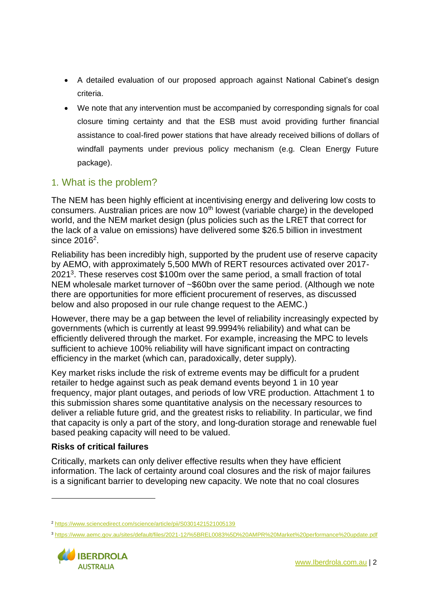- A detailed evaluation of our proposed approach against National Cabinet's design criteria.
- We note that any intervention must be accompanied by corresponding signals for coal closure timing certainty and that the ESB must avoid providing further financial assistance to coal-fired power stations that have already received billions of dollars of windfall payments under previous policy mechanism (e.g. Clean Energy Future package).

## 1. What is the problem?

The NEM has been highly efficient at incentivising energy and delivering low costs to consumers. Australian prices are now  $10<sup>th</sup>$  lowest (variable charge) in the developed world, and the NEM market design (plus policies such as the LRET that correct for the lack of a value on emissions) have delivered some \$26.5 billion in investment since 2016<sup>2</sup>.

Reliability has been incredibly high, supported by the prudent use of reserve capacity by AEMO, with approximately 5,500 MWh of RERT resources activated over 2017- 2021<sup>3</sup>. These reserves cost \$100m over the same period, a small fraction of total NEM wholesale market turnover of ~\$60bn over the same period. (Although we note there are opportunities for more efficient procurement of reserves, as discussed below and also proposed in our rule change request to the AEMC.)

However, there may be a gap between the level of reliability increasingly expected by governments (which is currently at least 99.9994% reliability) and what can be efficiently delivered through the market. For example, increasing the MPC to levels sufficient to achieve 100% reliability will have significant impact on contracting efficiency in the market (which can, paradoxically, deter supply).

Key market risks include the risk of extreme events may be difficult for a prudent retailer to hedge against such as peak demand events beyond 1 in 10 year frequency, major plant outages, and periods of low VRE production. Attachment 1 to this submission shares some quantitative analysis on the necessary resources to deliver a reliable future grid, and the greatest risks to reliability. In particular, we find that capacity is only a part of the story, and long-duration storage and renewable fuel based peaking capacity will need to be valued.

#### **Risks of critical failures**

Critically, markets can only deliver effective results when they have efficient information. The lack of certainty around coal closures and the risk of major failures is a significant barrier to developing new capacity. We note that no coal closures

<sup>3</sup> <https://www.aemc.gov.au/sites/default/files/2021-12/%5BREL0083%5D%20AMPR%20Market%20performance%20update.pdf>



<sup>2</sup> <https://www.sciencedirect.com/science/article/pii/S0301421521005139>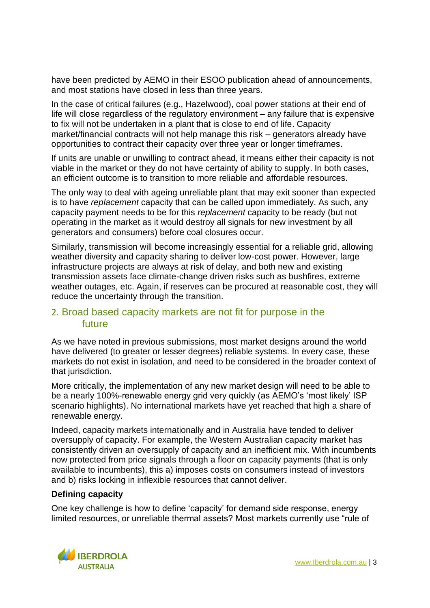have been predicted by AEMO in their ESOO publication ahead of announcements, and most stations have closed in less than three years.

In the case of critical failures (e.g., Hazelwood), coal power stations at their end of life will close regardless of the regulatory environment – any failure that is expensive to fix will not be undertaken in a plant that is close to end of life. Capacity market/financial contracts will not help manage this risk – generators already have opportunities to contract their capacity over three year or longer timeframes.

If units are unable or unwilling to contract ahead, it means either their capacity is not viable in the market or they do not have certainty of ability to supply. In both cases, an efficient outcome is to transition to more reliable and affordable resources.

The only way to deal with ageing unreliable plant that may exit sooner than expected is to have *replacement* capacity that can be called upon immediately. As such, any capacity payment needs to be for this *replacement* capacity to be ready (but not operating in the market as it would destroy all signals for new investment by all generators and consumers) before coal closures occur.

Similarly, transmission will become increasingly essential for a reliable grid, allowing weather diversity and capacity sharing to deliver low-cost power. However, large infrastructure projects are always at risk of delay, and both new and existing transmission assets face climate-change driven risks such as bushfires, extreme weather outages, etc. Again, if reserves can be procured at reasonable cost, they will reduce the uncertainty through the transition.

#### 2. Broad based capacity markets are not fit for purpose in the future

As we have noted in previous submissions, most market designs around the world have delivered (to greater or lesser degrees) reliable systems. In every case, these markets do not exist in isolation, and need to be considered in the broader context of that jurisdiction.

More critically, the implementation of any new market design will need to be able to be a nearly 100%-renewable energy grid very quickly (as AEMO's 'most likely' ISP scenario highlights). No international markets have yet reached that high a share of renewable energy.

Indeed, capacity markets internationally and in Australia have tended to deliver oversupply of capacity. For example, the Western Australian capacity market has consistently driven an oversupply of capacity and an inefficient mix. With incumbents now protected from price signals through a floor on capacity payments (that is only available to incumbents), this a) imposes costs on consumers instead of investors and b) risks locking in inflexible resources that cannot deliver.

#### **Defining capacity**

One key challenge is how to define 'capacity' for demand side response, energy limited resources, or unreliable thermal assets? Most markets currently use "rule of

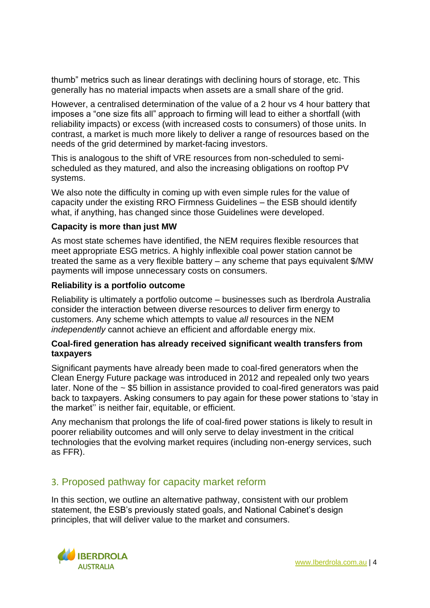thumb" metrics such as linear deratings with declining hours of storage, etc. This generally has no material impacts when assets are a small share of the grid.

However, a centralised determination of the value of a 2 hour vs 4 hour battery that imposes a "one size fits all" approach to firming will lead to either a shortfall (with reliability impacts) or excess (with increased costs to consumers) of those units. In contrast, a market is much more likely to deliver a range of resources based on the needs of the grid determined by market-facing investors.

This is analogous to the shift of VRE resources from non-scheduled to semischeduled as they matured, and also the increasing obligations on rooftop PV systems.

We also note the difficulty in coming up with even simple rules for the value of capacity under the existing RRO Firmness Guidelines – the ESB should identify what, if anything, has changed since those Guidelines were developed.

#### **Capacity is more than just MW**

As most state schemes have identified, the NEM requires flexible resources that meet appropriate ESG metrics. A highly inflexible coal power station cannot be treated the same as a very flexible battery – any scheme that pays equivalent \$/MW payments will impose unnecessary costs on consumers.

#### **Reliability is a portfolio outcome**

Reliability is ultimately a portfolio outcome – businesses such as Iberdrola Australia consider the interaction between diverse resources to deliver firm energy to customers. Any scheme which attempts to value *all* resources in the NEM *independently* cannot achieve an efficient and affordable energy mix.

#### **Coal-fired generation has already received significant wealth transfers from taxpayers**

Significant payments have already been made to coal-fired generators when the Clean Energy Future package was introduced in 2012 and repealed only two years later. None of the  $\sim$  \$5 billion in assistance provided to coal-fired generators was paid back to taxpayers. Asking consumers to pay again for these power stations to 'stay in the market'' is neither fair, equitable, or efficient.

Any mechanism that prolongs the life of coal-fired power stations is likely to result in poorer reliability outcomes and will only serve to delay investment in the critical technologies that the evolving market requires (including non-energy services, such as FFR).

#### 3. Proposed pathway for capacity market reform

In this section, we outline an alternative pathway, consistent with our problem statement, the ESB's previously stated goals, and National Cabinet's design principles, that will deliver value to the market and consumers.

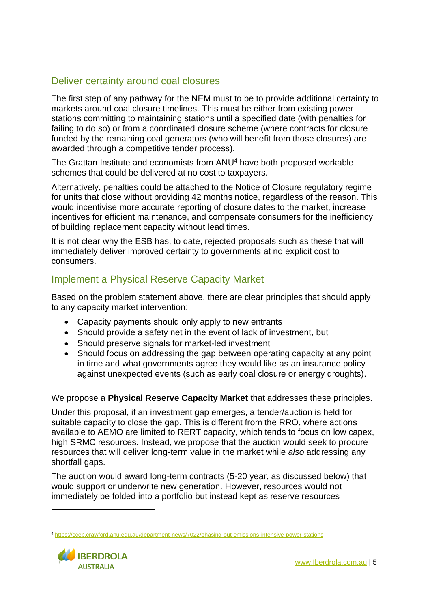## Deliver certainty around coal closures

The first step of any pathway for the NEM must to be to provide additional certainty to markets around coal closure timelines. This must be either from existing power stations committing to maintaining stations until a specified date (with penalties for failing to do so) or from a coordinated closure scheme (where contracts for closure funded by the remaining coal generators (who will benefit from those closures) are awarded through a competitive tender process).

The Grattan Institute and economists from ANU<sup>4</sup> have both proposed workable schemes that could be delivered at no cost to taxpayers.

Alternatively, penalties could be attached to the Notice of Closure regulatory regime for units that close without providing 42 months notice, regardless of the reason. This would incentivise more accurate reporting of closure dates to the market, increase incentives for efficient maintenance, and compensate consumers for the inefficiency of building replacement capacity without lead times.

It is not clear why the ESB has, to date, rejected proposals such as these that will immediately deliver improved certainty to governments at no explicit cost to consumers.

## Implement a Physical Reserve Capacity Market

Based on the problem statement above, there are clear principles that should apply to any capacity market intervention:

- Capacity payments should only apply to new entrants
- Should provide a safety net in the event of lack of investment, but
- Should preserve signals for market-led investment
- Should focus on addressing the gap between operating capacity at any point in time and what governments agree they would like as an insurance policy against unexpected events (such as early coal closure or energy droughts).

We propose a **Physical Reserve Capacity Market** that addresses these principles.

Under this proposal, if an investment gap emerges, a tender/auction is held for suitable capacity to close the gap. This is different from the RRO, where actions available to AEMO are limited to RERT capacity, which tends to focus on low capex, high SRMC resources. Instead, we propose that the auction would seek to procure resources that will deliver long-term value in the market while *also* addressing any shortfall gaps.

The auction would award long-term contracts (5-20 year, as discussed below) that would support or underwrite new generation. However, resources would not immediately be folded into a portfolio but instead kept as reserve resources

<sup>4</sup> <https://ccep.crawford.anu.edu.au/department-news/7022/phasing-out-emissions-intensive-power-stations>

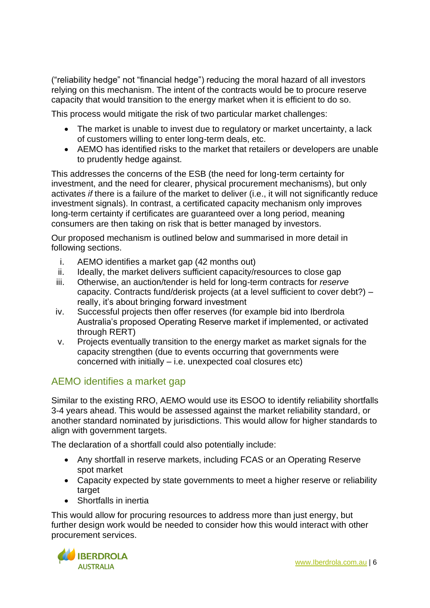("reliability hedge" not "financial hedge") reducing the moral hazard of all investors relying on this mechanism. The intent of the contracts would be to procure reserve capacity that would transition to the energy market when it is efficient to do so.

This process would mitigate the risk of two particular market challenges:

- The market is unable to invest due to regulatory or market uncertainty, a lack of customers willing to enter long-term deals, etc.
- AEMO has identified risks to the market that retailers or developers are unable to prudently hedge against.

This addresses the concerns of the ESB (the need for long-term certainty for investment, and the need for clearer, physical procurement mechanisms), but only activates *if* there is a failure of the market to deliver (i.e., it will not significantly reduce investment signals). In contrast, a certificated capacity mechanism only improves long-term certainty if certificates are guaranteed over a long period, meaning consumers are then taking on risk that is better managed by investors.

Our proposed mechanism is outlined below and summarised in more detail in following sections.

- i. AEMO identifies a market gap (42 months out)
- ii. Ideally, the market delivers sufficient capacity/resources to close gap
- iii. Otherwise, an auction/tender is held for long-term contracts for *reserve* capacity. Contracts fund/derisk projects (at a level sufficient to cover debt?) – really, it's about bringing forward investment
- iv. Successful projects then offer reserves (for example bid into Iberdrola Australia's proposed Operating Reserve market if implemented, or activated through RERT)
- v. Projects eventually transition to the energy market as market signals for the capacity strengthen (due to events occurring that governments were concerned with initially – i.e. unexpected coal closures etc)

### AEMO identifies a market gap

Similar to the existing RRO, AEMO would use its ESOO to identify reliability shortfalls 3-4 years ahead. This would be assessed against the market reliability standard, or another standard nominated by jurisdictions. This would allow for higher standards to align with government targets.

The declaration of a shortfall could also potentially include:

- Any shortfall in reserve markets, including FCAS or an Operating Reserve spot market
- Capacity expected by state governments to meet a higher reserve or reliability target
- Shortfalls in inertia

This would allow for procuring resources to address more than just energy, but further design work would be needed to consider how this would interact with other procurement services.

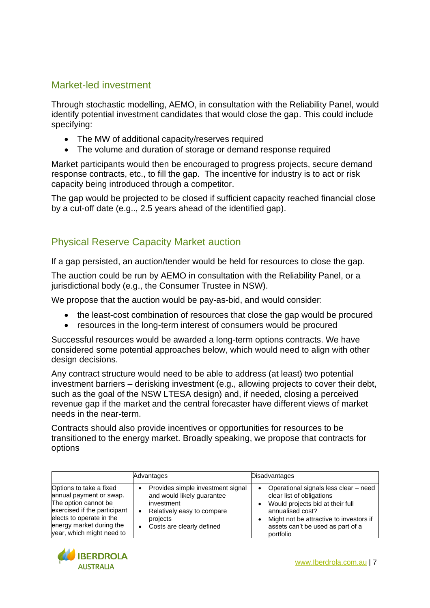### Market-led investment

Through stochastic modelling, AEMO, in consultation with the Reliability Panel, would identify potential investment candidates that would close the gap. This could include specifying:

- The MW of additional capacity/reserves required
- The volume and duration of storage or demand response required

Market participants would then be encouraged to progress projects, secure demand response contracts, etc., to fill the gap. The incentive for industry is to act or risk capacity being introduced through a competitor.

The gap would be projected to be closed if sufficient capacity reached financial close by a cut-off date (e.g.., 2.5 years ahead of the identified gap).

### Physical Reserve Capacity Market auction

If a gap persisted, an auction/tender would be held for resources to close the gap.

The auction could be run by AEMO in consultation with the Reliability Panel, or a jurisdictional body (e.g., the Consumer Trustee in NSW).

We propose that the auction would be pay-as-bid, and would consider:

- the least-cost combination of resources that close the gap would be procured
- resources in the long-term interest of consumers would be procured

Successful resources would be awarded a long-term options contracts. We have considered some potential approaches below, which would need to align with other design decisions.

Any contract structure would need to be able to address (at least) two potential investment barriers – derisking investment (e.g., allowing projects to cover their debt, such as the goal of the NSW LTESA design) and, if needed, closing a perceived revenue gap if the market and the central forecaster have different views of market needs in the near-term.

Contracts should also provide incentives or opportunities for resources to be transitioned to the energy market. Broadly speaking, we propose that contracts for options

|                                                                                                                                                                                                 | Advantages                                                                                                                                                             | <b>Disadvantages</b>                                                                                                                                                                                                         |
|-------------------------------------------------------------------------------------------------------------------------------------------------------------------------------------------------|------------------------------------------------------------------------------------------------------------------------------------------------------------------------|------------------------------------------------------------------------------------------------------------------------------------------------------------------------------------------------------------------------------|
| Options to take a fixed<br>annual payment or swap.<br>The option cannot be<br>exercised if the participant<br>elects to operate in the<br>energy market during the<br>year, which might need to | Provides simple investment signal<br>and would likely guarantee<br>investment<br>Relatively easy to compare<br>$\bullet$<br>projects<br>Costs are clearly defined<br>٠ | Operational signals less clear - need<br>٠<br>clear list of obligations<br>Would projects bid at their full<br>annualised cost?<br>Might not be attractive to investors if<br>assets can't be used as part of a<br>portfolio |

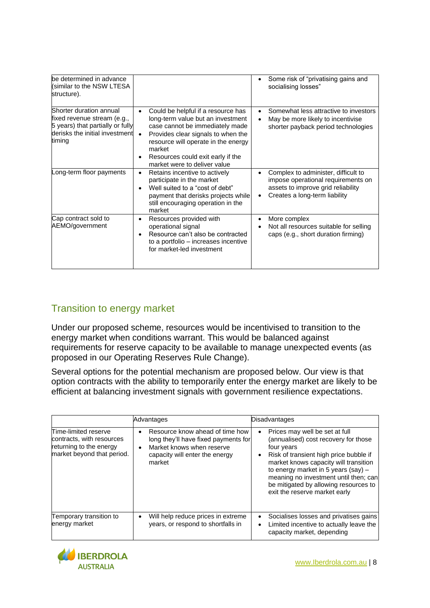| be determined in advance<br>(similar to the NSW LTESA<br>structure).                                                                   |                                                                                                                                                                                                                                                                                                  | Some risk of "privatising gains and<br>$\bullet$<br>socialising losses"                                                                                                    |
|----------------------------------------------------------------------------------------------------------------------------------------|--------------------------------------------------------------------------------------------------------------------------------------------------------------------------------------------------------------------------------------------------------------------------------------------------|----------------------------------------------------------------------------------------------------------------------------------------------------------------------------|
| Shorter duration annual<br>fixed revenue stream (e.g.,<br>5 years) that partially or fully<br>derisks the initial investment<br>timing | Could be helpful if a resource has<br>$\bullet$<br>long-term value but an investment<br>case cannot be immediately made<br>Provides clear signals to when the<br>$\bullet$<br>resource will operate in the energy<br>market<br>Resources could exit early if the<br>market were to deliver value | Somewhat less attractive to investors<br>$\bullet$<br>May be more likely to incentivise<br>shorter payback period technologies                                             |
| Long-term floor payments                                                                                                               | Retains incentive to actively<br>٠<br>participate in the market<br>Well suited to a "cost of debt"<br>payment that derisks projects while<br>still encouraging operation in the<br>market                                                                                                        | Complex to administer, difficult to<br>$\bullet$<br>impose operational requirements on<br>assets to improve grid reliability<br>Creates a long-term liability<br>$\bullet$ |
| Cap contract sold to<br>AEMO/government                                                                                                | Resources provided with<br>٠<br>operational signal<br>Resource can't also be contracted<br>to a portfolio – increases incentive<br>for market-led investment                                                                                                                                     | More complex<br>$\bullet$<br>Not all resources suitable for selling<br>caps (e.g., short duration firming)                                                                 |

# Transition to energy market

Under our proposed scheme, resources would be incentivised to transition to the energy market when conditions warrant. This would be balanced against requirements for reserve capacity to be available to manage unexpected events (as proposed in our Operating Reserves Rule Change).

Several options for the potential mechanism are proposed below. Our view is that option contracts with the ability to temporarily enter the energy market are likely to be efficient at balancing investment signals with government resilience expectations.

|                                                                                                            | Advantages                                                                                                                                                    | <b>Disadvantages</b>                                                                                                                                                                                                                                                                                                                                  |
|------------------------------------------------------------------------------------------------------------|---------------------------------------------------------------------------------------------------------------------------------------------------------------|-------------------------------------------------------------------------------------------------------------------------------------------------------------------------------------------------------------------------------------------------------------------------------------------------------------------------------------------------------|
| Time-limited reserve<br>contracts, with resources<br>returning to the energy<br>market beyond that period. | Resource know ahead of time how<br>long they'll have fixed payments for<br>Market knows when reserve<br>$\bullet$<br>capacity will enter the energy<br>market | Prices may well be set at full<br>$\bullet$<br>(annualised) cost recovery for those<br>four years<br>Risk of transient high price bubble if<br>٠<br>market knows capacity will transition<br>to energy market in 5 years $(say)$ –<br>meaning no investment until then; can<br>be mitigated by allowing resources to<br>exit the reserve market early |
| Temporary transition to<br>energy market                                                                   | Will help reduce prices in extreme<br>٠<br>years, or respond to shortfalls in                                                                                 | Socialises losses and privatises gains<br>٠<br>Limited incentive to actually leave the<br>$\bullet$<br>capacity market, depending                                                                                                                                                                                                                     |

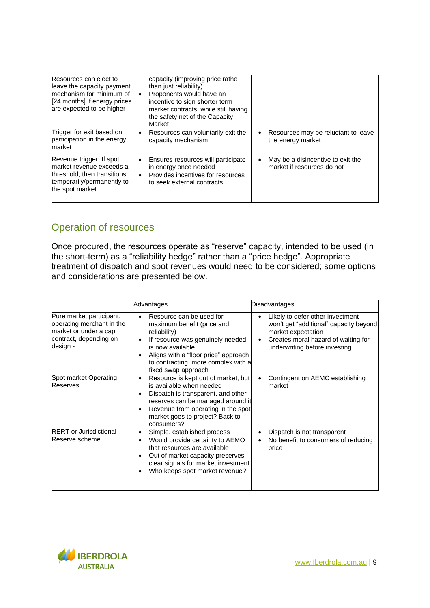| Resources can elect to<br>leave the capacity payment<br>mechanism for minimum of<br>[24 months] if energy prices<br>are expected to be higher | capacity (improving price rathe<br>than just reliability)<br>Proponents would have an<br>$\bullet$<br>incentive to sign shorter term<br>market contracts, while still having<br>the safety net of the Capacity<br>Market |                                                                      |
|-----------------------------------------------------------------------------------------------------------------------------------------------|--------------------------------------------------------------------------------------------------------------------------------------------------------------------------------------------------------------------------|----------------------------------------------------------------------|
| Trigger for exit based on<br>participation in the energy<br>market                                                                            | Resources can voluntarily exit the<br>٠<br>capacity mechanism                                                                                                                                                            | Resources may be reluctant to leave<br>٠<br>the energy market        |
| Revenue trigger: If spot<br>market revenue exceeds a<br>threshold, then transitions<br>temporarily/permanently to<br>the spot market          | Ensures resources will participate<br>٠<br>in energy once needed<br>Provides incentives for resources<br>$\bullet$<br>to seek external contracts                                                                         | May be a disincentive to exit the<br>٠<br>market if resources do not |

## Operation of resources

Once procured, the resources operate as "reserve" capacity, intended to be used (in the short-term) as a "reliability hedge" rather than a "price hedge". Appropriate treatment of dispatch and spot revenues would need to be considered; some options and considerations are presented below.

|                                                                                                                      | Advantages                                                                                                                                                                                                                                               | <b>Disadvantages</b>                                                                                                                                                                    |
|----------------------------------------------------------------------------------------------------------------------|----------------------------------------------------------------------------------------------------------------------------------------------------------------------------------------------------------------------------------------------------------|-----------------------------------------------------------------------------------------------------------------------------------------------------------------------------------------|
| Pure market participant,<br>operating merchant in the<br>market or under a cap<br>contract, depending on<br>design - | Resource can be used for<br>٠<br>maximum benefit (price and<br>reliability)<br>If resource was genuinely needed,<br>٠<br>is now available<br>Aligns with a "floor price" approach<br>to contracting, more complex with a<br>fixed swap approach          | Likely to defer other investment -<br>won't get "additional" capacity beyond<br>market expectation<br>Creates moral hazard of waiting for<br>$\bullet$<br>underwriting before investing |
| Spot market Operating<br><b>Reserves</b>                                                                             | Resource is kept out of market, but<br>$\bullet$<br>is available when needed<br>Dispatch is transparent, and other<br>٠<br>reserves can be managed around it<br>Revenue from operating in the spot<br>٠<br>market goes to project? Back to<br>consumers? | Contingent on AEMC establishing<br>$\bullet$<br>market                                                                                                                                  |
| <b>RERT</b> or Jurisdictional<br>Reserve scheme                                                                      | Simple, established process<br>٠<br>Would provide certainty to AEMO<br>that resources are available<br>Out of market capacity preserves<br>٠<br>clear signals for market investment<br>Who keeps spot market revenue?                                    | Dispatch is not transparent<br>No benefit to consumers of reducing<br>price                                                                                                             |

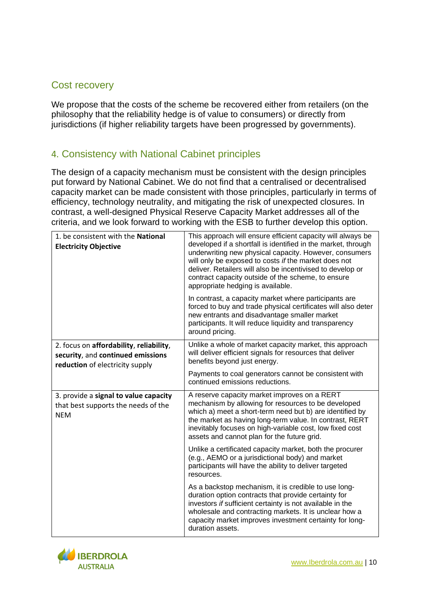#### Cost recovery

We propose that the costs of the scheme be recovered either from retailers (on the philosophy that the reliability hedge is of value to consumers) or directly from jurisdictions (if higher reliability targets have been progressed by governments).

#### 4. Consistency with National Cabinet principles

The design of a capacity mechanism must be consistent with the design principles put forward by National Cabinet. We do not find that a centralised or decentralised capacity market can be made consistent with those principles, particularly in terms of efficiency, technology neutrality, and mitigating the risk of unexpected closures. In contrast, a well-designed Physical Reserve Capacity Market addresses all of the criteria, and we look forward to working with the ESB to further develop this option.

| 1. be consistent with the National<br><b>Electricity Objective</b>                                              | This approach will ensure efficient capacity will always be<br>developed if a shortfall is identified in the market, through<br>underwriting new physical capacity. However, consumers<br>will only be exposed to costs if the market does not<br>deliver. Retailers will also be incentivised to develop or<br>contract capacity outside of the scheme, to ensure<br>appropriate hedging is available. |
|-----------------------------------------------------------------------------------------------------------------|---------------------------------------------------------------------------------------------------------------------------------------------------------------------------------------------------------------------------------------------------------------------------------------------------------------------------------------------------------------------------------------------------------|
|                                                                                                                 | In contrast, a capacity market where participants are<br>forced to buy and trade physical certificates will also deter<br>new entrants and disadvantage smaller market<br>participants. It will reduce liquidity and transparency<br>around pricing.                                                                                                                                                    |
| 2. focus on affordability, reliability,<br>security, and continued emissions<br>reduction of electricity supply | Unlike a whole of market capacity market, this approach<br>will deliver efficient signals for resources that deliver<br>benefits beyond just energy.                                                                                                                                                                                                                                                    |
|                                                                                                                 | Payments to coal generators cannot be consistent with<br>continued emissions reductions.                                                                                                                                                                                                                                                                                                                |
| 3. provide a signal to value capacity<br>that best supports the needs of the<br><b>NEM</b>                      | A reserve capacity market improves on a RERT<br>mechanism by allowing for resources to be developed<br>which a) meet a short-term need but b) are identified by<br>the market as having long-term value. In contrast, RERT<br>inevitably focuses on high-variable cost, low fixed cost<br>assets and cannot plan for the future grid.                                                                   |
|                                                                                                                 | Unlike a certificated capacity market, both the procurer<br>(e.g., AEMO or a jurisdictional body) and market<br>participants will have the ability to deliver targeted<br>resources.                                                                                                                                                                                                                    |
|                                                                                                                 | As a backstop mechanism, it is credible to use long-<br>duration option contracts that provide certainty for<br>investors if sufficient certainty is not available in the<br>wholesale and contracting markets. It is unclear how a<br>capacity market improves investment certainty for long-<br>duration assets.                                                                                      |

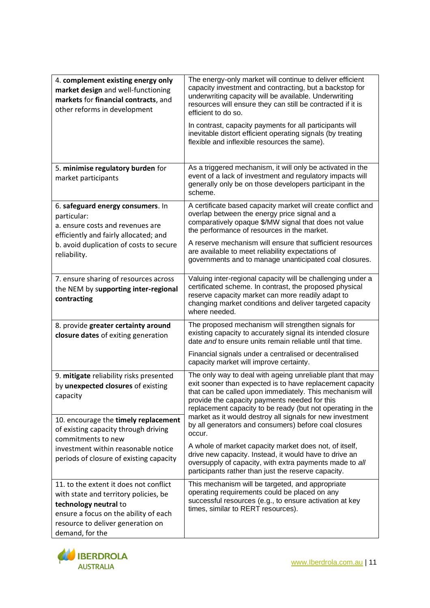| 4. complement existing energy only<br>market design and well-functioning<br>markets for financial contracts, and<br>other reforms in development                                                          | The energy-only market will continue to deliver efficient<br>capacity investment and contracting, but a backstop for<br>underwriting capacity will be available. Underwriting<br>resources will ensure they can still be contracted if it is<br>efficient to do so.<br>In contrast, capacity payments for all participants will                                 |
|-----------------------------------------------------------------------------------------------------------------------------------------------------------------------------------------------------------|-----------------------------------------------------------------------------------------------------------------------------------------------------------------------------------------------------------------------------------------------------------------------------------------------------------------------------------------------------------------|
|                                                                                                                                                                                                           | inevitable distort efficient operating signals (by treating<br>flexible and inflexible resources the same).                                                                                                                                                                                                                                                     |
| 5. minimise regulatory burden for<br>market participants                                                                                                                                                  | As a triggered mechanism, it will only be activated in the<br>event of a lack of investment and regulatory impacts will<br>generally only be on those developers participant in the<br>scheme.                                                                                                                                                                  |
| 6. safeguard energy consumers. In<br>particular:<br>a. ensure costs and revenues are<br>efficiently and fairly allocated; and<br>b. avoid duplication of costs to secure<br>reliability.                  | A certificate based capacity market will create conflict and<br>overlap between the energy price signal and a<br>comparatively opaque \$/MW signal that does not value<br>the performance of resources in the market.                                                                                                                                           |
|                                                                                                                                                                                                           | A reserve mechanism will ensure that sufficient resources<br>are available to meet reliability expectations of<br>governments and to manage unanticipated coal closures.                                                                                                                                                                                        |
| 7. ensure sharing of resources across<br>the NEM by supporting inter-regional<br>contracting                                                                                                              | Valuing inter-regional capacity will be challenging under a<br>certificated scheme. In contrast, the proposed physical<br>reserve capacity market can more readily adapt to<br>changing market conditions and deliver targeted capacity<br>where needed.                                                                                                        |
| 8. provide greater certainty around<br>closure dates of exiting generation                                                                                                                                | The proposed mechanism will strengthen signals for<br>existing capacity to accurately signal its intended closure<br>date and to ensure units remain reliable until that time.                                                                                                                                                                                  |
|                                                                                                                                                                                                           | Financial signals under a centralised or decentralised<br>capacity market will improve certainty.                                                                                                                                                                                                                                                               |
| 9. mitigate reliability risks presented<br>by unexpected closures of existing<br>capacity                                                                                                                 | The only way to deal with ageing unreliable plant that may<br>exit sooner than expected is to have replacement capacity<br>that can be called upon immediately. This mechanism will<br>provide the capacity payments needed for this<br>replacement capacity to be ready (but not operating in the<br>market as it would destroy all signals for new investment |
| 10. encourage the timely replacement<br>of existing capacity through driving<br>commitments to new                                                                                                        | by all generators and consumers) before coal closures<br>occur.                                                                                                                                                                                                                                                                                                 |
| investment within reasonable notice<br>periods of closure of existing capacity                                                                                                                            | A whole of market capacity market does not, of itself,<br>drive new capacity. Instead, it would have to drive an<br>oversupply of capacity, with extra payments made to all<br>participants rather than just the reserve capacity.                                                                                                                              |
| 11. to the extent it does not conflict<br>with state and territory policies, be<br>technology neutral to<br>ensure a focus on the ability of each<br>resource to deliver generation on<br>demand, for the | This mechanism will be targeted, and appropriate<br>operating requirements could be placed on any<br>successful resources (e.g., to ensure activation at key<br>times, similar to RERT resources).                                                                                                                                                              |

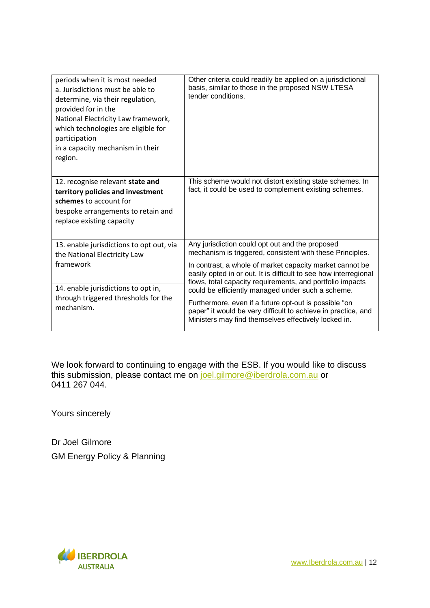| periods when it is most needed<br>a. Jurisdictions must be able to<br>determine, via their regulation,<br>provided for in the<br>National Electricity Law framework,<br>which technologies are eligible for<br>participation<br>in a capacity mechanism in their<br>region. | Other criteria could readily be applied on a jurisdictional<br>basis, similar to those in the proposed NSW LTESA<br>tender conditions.                                         |
|-----------------------------------------------------------------------------------------------------------------------------------------------------------------------------------------------------------------------------------------------------------------------------|--------------------------------------------------------------------------------------------------------------------------------------------------------------------------------|
| 12. recognise relevant state and                                                                                                                                                                                                                                            | This scheme would not distort existing state schemes. In                                                                                                                       |
| territory policies and investment                                                                                                                                                                                                                                           | fact, it could be used to complement existing schemes.                                                                                                                         |
| schemes to account for                                                                                                                                                                                                                                                      |                                                                                                                                                                                |
| bespoke arrangements to retain and                                                                                                                                                                                                                                          |                                                                                                                                                                                |
| replace existing capacity                                                                                                                                                                                                                                                   |                                                                                                                                                                                |
|                                                                                                                                                                                                                                                                             |                                                                                                                                                                                |
| 13. enable jurisdictions to opt out, via<br>the National Electricity Law                                                                                                                                                                                                    | Any jurisdiction could opt out and the proposed<br>mechanism is triggered, consistent with these Principles.                                                                   |
| framework                                                                                                                                                                                                                                                                   | In contrast, a whole of market capacity market cannot be<br>easily opted in or out. It is difficult to see how interregional                                                   |
| 14. enable jurisdictions to opt in,                                                                                                                                                                                                                                         | flows, total capacity requirements, and portfolio impacts<br>could be efficiently managed under such a scheme.                                                                 |
| through triggered thresholds for the<br>mechanism.                                                                                                                                                                                                                          | Furthermore, even if a future opt-out is possible "on<br>paper" it would be very difficult to achieve in practice, and<br>Ministers may find themselves effectively locked in. |

We look forward to continuing to engage with the ESB. If you would like to discuss this submission, please contact me on [joel.gilmore@iberdrola.com.au](mailto:joel.gilmore@iberdrola.com.au) or 0411 267 044.

Yours sincerely

Dr Joel Gilmore GM Energy Policy & Planning